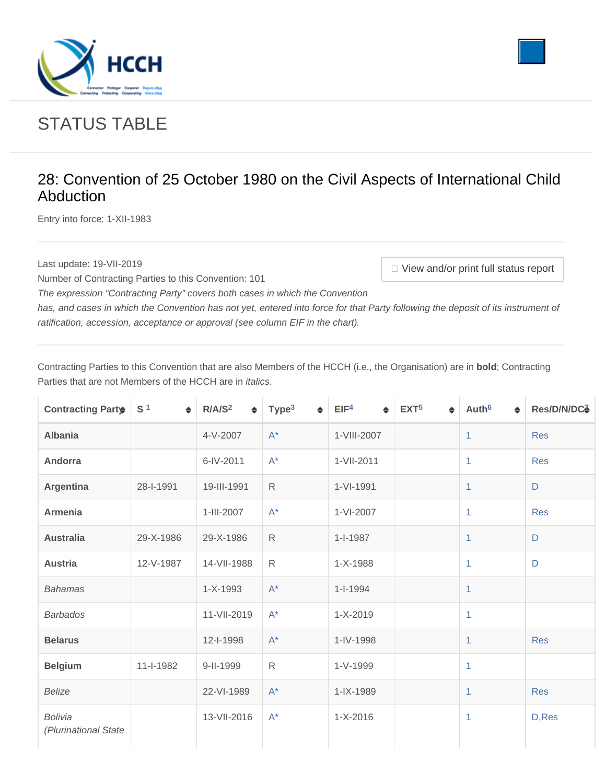<span id="page-0-0"></span>



## STATUS TABLE

## 28: Convention of 25 October 1980 on the Civil Aspects of International Child Abduction

Entry into force: 1-XII-1983

Last update: 19-VII-2019 **View and/or print full status report** 

*The expression "Contracting Party" covers both cases in which the Convention* 

Number of Contracting Parties to this Convention: 101

has, and cases in which the Convention has not yet, entered into force for that Party following the deposit of its instrument of ratification, accession, acceptance or approval (see column EIF in the chart).

Contracting Parties to this Convention that are also Members of the HCCH (i.e., the Organisation) are in **bold**; Contracting Parties that are not Members of the HCCH are in *italics*.

| <b>Contracting Parts</b>               | S <sup>1</sup><br>$\Rightarrow$ | R/A/S <sup>2</sup><br>$\div$ | Type <sup>3</sup><br>♦ | EIF <sup>4</sup><br>$\div$ | EXT <sup>5</sup><br>$\Rightarrow$ | Auth <sup>6</sup><br>$\div$ | Res/D/N/DC4 |
|----------------------------------------|---------------------------------|------------------------------|------------------------|----------------------------|-----------------------------------|-----------------------------|-------------|
| <b>Albania</b>                         |                                 | 4-V-2007                     | $A^*$                  | 1-VIII-2007                |                                   | 1                           | <b>Res</b>  |
| Andorra                                |                                 | 6-IV-2011                    | $A^*$                  | 1-VII-2011                 |                                   | 1                           | <b>Res</b>  |
| <b>Argentina</b>                       | 28-I-1991                       | 19-III-1991                  | $\mathsf{R}$           | 1-VI-1991                  |                                   | 1                           | D           |
| <b>Armenia</b>                         |                                 | 1-III-2007                   | $A^*$                  | 1-VI-2007                  |                                   | 1                           | <b>Res</b>  |
| <b>Australia</b>                       | 29-X-1986                       | 29-X-1986                    | $\mathsf{R}$           | $1 - 1987$                 |                                   | 1                           | $\mathsf D$ |
| <b>Austria</b>                         | 12-V-1987                       | 14-VII-1988                  | $\mathsf{R}$           | 1-X-1988                   |                                   | 1                           | D           |
| <b>Bahamas</b>                         |                                 | 1-X-1993                     | $A^*$                  | $1 - 1 - 1994$             |                                   | 1                           |             |
| <b>Barbados</b>                        |                                 | 11-VII-2019                  | $A^*$                  | $1 - X - 2019$             |                                   | 1                           |             |
| <b>Belarus</b>                         |                                 | 12-I-1998                    | $A^*$                  | 1-IV-1998                  |                                   | 1                           | <b>Res</b>  |
| <b>Belgium</b>                         | 11-I-1982                       | 9-II-1999                    | $\mathsf{R}$           | 1-V-1999                   |                                   | 1                           |             |
| <b>Belize</b>                          |                                 | 22-VI-1989                   | $A^*$                  | 1-IX-1989                  |                                   | 1                           | <b>Res</b>  |
| <b>Bolivia</b><br>(Plurinational State |                                 | 13-VII-2016                  | $A^*$                  | $1 - X - 2016$             |                                   | 1                           | D, Res      |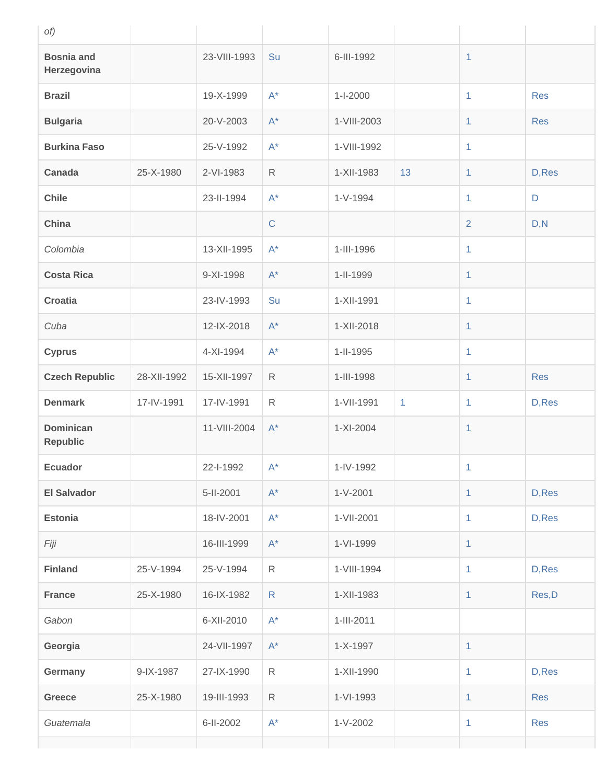| of)                                 |             |              |                      |                |              |                |             |
|-------------------------------------|-------------|--------------|----------------------|----------------|--------------|----------------|-------------|
| <b>Bosnia and</b><br>Herzegovina    |             | 23-VIII-1993 | Su                   | 6-III-1992     |              | $\mathbf{1}$   |             |
| <b>Brazil</b>                       |             | 19-X-1999    | $A^*$                | $1 - 1 - 2000$ |              | $\mathbf{1}$   | <b>Res</b>  |
| <b>Bulgaria</b>                     |             | 20-V-2003    | $A^*$                | 1-VIII-2003    |              | $\mathbf{1}$   | <b>Res</b>  |
| <b>Burkina Faso</b>                 |             | 25-V-1992    | $A^*$                | 1-VIII-1992    |              | 1              |             |
| <b>Canada</b>                       | 25-X-1980   | 2-VI-1983    | $\mathsf{R}$         | 1-XII-1983     | 13           | $\mathbf{1}$   | D, Res      |
| <b>Chile</b>                        |             | 23-II-1994   | $A^*$                | $1-V-1994$     |              | $\mathbf{1}$   | $\mathsf D$ |
| China                               |             |              | $\mathsf{C}$         |                |              | $\overline{2}$ | D, N        |
| Colombia                            |             | 13-XII-1995  | $A^*$                | 1-III-1996     |              | $\mathbf{1}$   |             |
| <b>Costa Rica</b>                   |             | 9-XI-1998    | $A^*$                | 1-II-1999      |              | 1              |             |
| <b>Croatia</b>                      |             | 23-IV-1993   | Su                   | 1-XII-1991     |              | $\mathbf{1}$   |             |
| Cuba                                |             | 12-IX-2018   | $\mathsf{A}^{\star}$ | 1-XII-2018     |              | 1              |             |
| <b>Cyprus</b>                       |             | 4-XI-1994    | $A^*$                | 1-II-1995      |              | $\mathbf{1}$   |             |
| <b>Czech Republic</b>               | 28-XII-1992 | 15-XII-1997  | $\mathsf{R}$         | 1-III-1998     |              | $\mathbf{1}$   | <b>Res</b>  |
| <b>Denmark</b>                      | 17-IV-1991  | 17-IV-1991   | $\mathsf{R}$         | 1-VII-1991     | $\mathbf{1}$ | $\mathbf{1}$   | D, Res      |
| <b>Dominican</b><br><b>Republic</b> |             | 11-VIII-2004 | $A^*$                | 1-XI-2004      |              | $\mathbf{1}$   |             |
| <b>Ecuador</b>                      |             | 22-1-1992    | $\mathsf{A}^{\star}$ | 1-IV-1992      |              | 1.             |             |
| <b>El Salvador</b>                  |             | 5-II-2001    | $\mathsf{A}^{\star}$ | $1 - V - 2001$ |              | $\mathbf{1}$   | D, Res      |
| <b>Estonia</b>                      |             | 18-IV-2001   | $\mathsf{A}^{\star}$ | 1-VII-2001     |              | $\mathbf{1}$   | D, Res      |
| Fiji                                |             | 16-III-1999  | $\mathsf{A}^{\star}$ | 1-VI-1999      |              | $\mathbf{1}$   |             |
| <b>Finland</b>                      | 25-V-1994   | 25-V-1994    | $\mathsf R$          | 1-VIII-1994    |              | 1              | D, Res      |
| <b>France</b>                       | 25-X-1980   | 16-IX-1982   | $\mathsf{R}$         | 1-XII-1983     |              | 1              | Res, D      |
| Gabon                               |             | 6-XII-2010   | $\mathsf{A}^{\star}$ | 1-III-2011     |              |                |             |
| Georgia                             |             | 24-VII-1997  | $\mathsf{A}^*$       | 1-X-1997       |              | $\mathbf{1}$   |             |
| Germany                             | 9-IX-1987   | 27-IX-1990   | $\mathsf{R}$         | 1-XII-1990     |              | $\mathbf{1}$   | D, Res      |
| Greece                              | 25-X-1980   | 19-III-1993  | $\mathsf{R}$         | 1-VI-1993      |              | $\mathbf{1}$   | <b>Res</b>  |
| Guatemala                           |             | 6-II-2002    | $\mathsf{A}^{\star}$ | $1 - V - 2002$ |              | $\mathbf{1}$   | Res         |
|                                     |             |              |                      |                |              |                |             |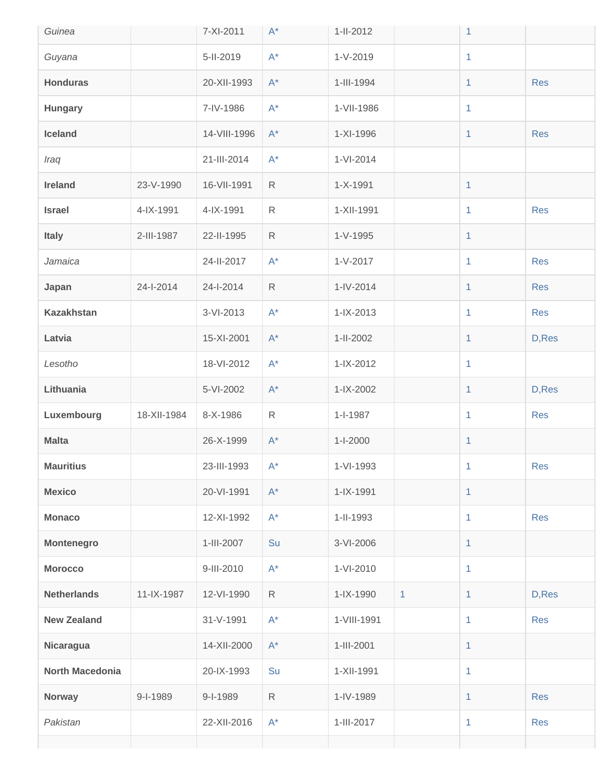| Guinea                 |             | 7-XI-2011    | $A^*$                | 1-II-2012       |              | 1            |            |
|------------------------|-------------|--------------|----------------------|-----------------|--------------|--------------|------------|
| Guyana                 |             | 5-II-2019    | $A^*$                | $1-V-2019$      |              | $\mathbf{1}$ |            |
| <b>Honduras</b>        |             | 20-XII-1993  | $A^*$                | 1-III-1994      |              | $\mathbf{1}$ | <b>Res</b> |
| <b>Hungary</b>         |             | 7-IV-1986    | $A^*$                | 1-VII-1986      |              | $\mathbf{1}$ |            |
| Iceland                |             | 14-VIII-1996 | $A^*$                | 1-XI-1996       |              | $\mathbf{1}$ | <b>Res</b> |
| Iraq                   |             | 21-III-2014  | $A^*$                | 1-VI-2014       |              |              |            |
| <b>Ireland</b>         | 23-V-1990   | 16-VII-1991  | $\mathsf{R}$         | $1 - X - 1991$  |              | 1            |            |
| <b>Israel</b>          | 4-IX-1991   | 4-IX-1991    | $\mathsf{R}$         | 1-XII-1991      |              | $\mathbf{1}$ | <b>Res</b> |
| <b>Italy</b>           | 2-III-1987  | 22-II-1995   | $\mathsf{R}$         | 1-V-1995        |              | 1            |            |
| Jamaica                |             | 24-II-2017   | $A^*$                | $1 - V - 2017$  |              | $\mathbf{1}$ | <b>Res</b> |
| Japan                  | 24-1-2014   | 24-1-2014    | $\mathsf{R}$         | $1 - IV - 2014$ |              | $\mathbf{1}$ | <b>Res</b> |
| <b>Kazakhstan</b>      |             | 3-VI-2013    | $A^*$                | $1 - IX - 2013$ |              | $\mathbf{1}$ | <b>Res</b> |
| Latvia                 |             | 15-XI-2001   | $A^*$                | 1-II-2002       |              | $\mathbf{1}$ | D, Res     |
| Lesotho                |             | 18-VI-2012   | $A^*$                | $1 - IX - 2012$ |              | $\mathbf{1}$ |            |
| Lithuania              |             | 5-VI-2002    | $A^*$                | 1-IX-2002       |              | $\mathbf{1}$ | D, Res     |
| Luxembourg             | 18-XII-1984 | 8-X-1986     | $\mathsf{R}$         | $1 - 1 - 1987$  |              | $\mathbf{1}$ | <b>Res</b> |
| <b>Malta</b>           |             | 26-X-1999    | $A^*$                | $1 - 1 - 2000$  |              | $\mathbf{1}$ |            |
| <b>Mauritius</b>       |             | 23-III-1993  | $A^*$                | 1-VI-1993       |              | $\mathbf{1}$ | <b>Res</b> |
| <b>Mexico</b>          |             | 20-VI-1991   | $A^*$                | 1-IX-1991       |              | $\mathbf{1}$ |            |
| <b>Monaco</b>          |             | 12-XI-1992   | $A^*$                | 1-II-1993       |              | $\mathbf{1}$ | <b>Res</b> |
| <b>Montenegro</b>      |             | 1-III-2007   | Su                   | 3-VI-2006       |              | $\mathbf{1}$ |            |
| <b>Morocco</b>         |             | 9-III-2010   | $A^*$                | 1-VI-2010       |              | $\mathbf{1}$ |            |
| <b>Netherlands</b>     | 11-IX-1987  | 12-VI-1990   | $\mathsf{R}$         | 1-IX-1990       | $\mathbf{1}$ | $\mathbf{1}$ | D, Res     |
| <b>New Zealand</b>     |             | 31-V-1991    | $A^*$                | 1-VIII-1991     |              | $\mathbf{1}$ | <b>Res</b> |
| Nicaragua              |             | 14-XII-2000  | $\mathsf{A}^{\star}$ | 1-III-2001      |              | 1            |            |
| <b>North Macedonia</b> |             | 20-IX-1993   | Su                   | 1-XII-1991      |              | $\mathbf{1}$ |            |
| <b>Norway</b>          | 9-I-1989    | 9-I-1989     | $\mathsf{R}$         | 1-IV-1989       |              | $\mathbf{1}$ | <b>Res</b> |
| Pakistan               |             | 22-XII-2016  | $A^*$                | 1-III-2017      |              | 1            | Res        |
|                        |             |              |                      |                 |              |              |            |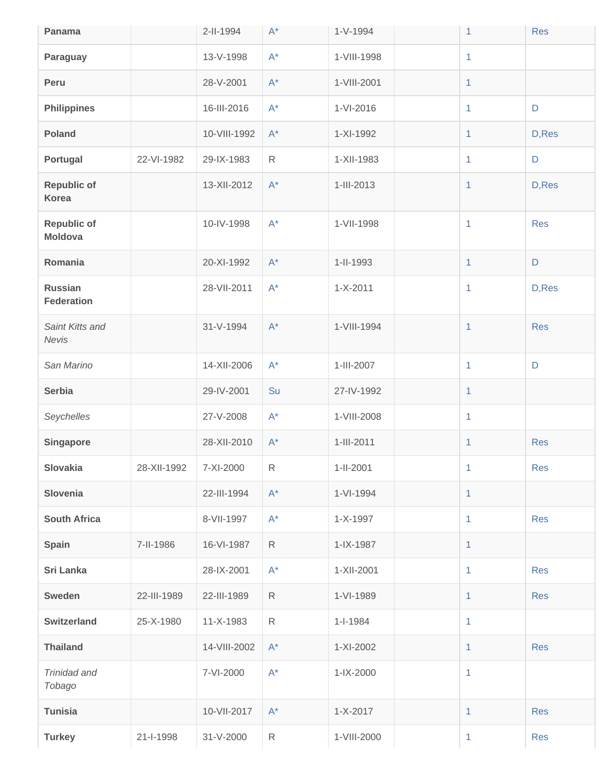| Panama                               |             | 2-II-1994    | $\mathsf{A}^*$       | $1-V-1994$      | 1              | <b>Res</b>  |
|--------------------------------------|-------------|--------------|----------------------|-----------------|----------------|-------------|
| Paraguay                             |             | 13-V-1998    | $A^*$                | 1-VIII-1998     | $\mathbf{1}$   |             |
| Peru                                 |             | 28-V-2001    | $\mathsf{A}^*$       | 1-VIII-2001     | $\mathbf{1}$   |             |
| <b>Philippines</b>                   |             | 16-III-2016  | $A^*$                | $1-VI-2016$     | $\mathbf{1}$   | $\mathsf D$ |
| <b>Poland</b>                        |             | 10-VIII-1992 | $\mathsf{A}^{\star}$ | 1-XI-1992       | $\mathbf{1}$   | D, Res      |
| Portugal                             | 22-VI-1982  | 29-IX-1983   | $\mathsf{R}$         | 1-XII-1983      | $\mathbf{1}$   | $\mathsf D$ |
| <b>Republic of</b><br>Korea          |             | 13-XII-2012  | $\mathsf{A}^{\star}$ | 1-III-2013      | $\mathbf{1}$   | D, Res      |
| <b>Republic of</b><br><b>Moldova</b> |             | 10-IV-1998   | $A^*$                | 1-VII-1998      | $\mathbf{1}$   | <b>Res</b>  |
| Romania                              |             | 20-XI-1992   | $\mathsf{A}^{\star}$ | 1-II-1993       | 1              | $\mathsf D$ |
| <b>Russian</b><br><b>Federation</b>  |             | 28-VII-2011  | $\mathsf{A}^{\star}$ | $1 - X - 2011$  | $\mathbf{1}$   | D, Res      |
| Saint Kitts and<br>Nevis             |             | 31-V-1994    | $\mathsf{A}^{\star}$ | 1-VIII-1994     | $\mathbf{1}$   | <b>Res</b>  |
| San Marino                           |             | 14-XII-2006  | $A^*$                | 1-III-2007      | $\mathbf{1}$   | D           |
| <b>Serbia</b>                        |             | 29-IV-2001   | Su                   | 27-IV-1992      | $\mathbf{1}$   |             |
| Seychelles                           |             | 27-V-2008    | $A^*$                | 1-VIII-2008     | $\overline{1}$ |             |
| Singapore                            |             | 28-XII-2010  | $\mathsf{A}^{\star}$ | 1-III-2011      | $\mathbf{1}$   | <b>Res</b>  |
| Slovakia                             | 28-XII-1992 | 7-XI-2000    | $\mathsf R$          | $1 - 11 - 2001$ | 1.             | <b>Res</b>  |
| Slovenia                             |             | 22-III-1994  | $A^*$                | 1-VI-1994       | $\mathbf{1}$   |             |
| <b>South Africa</b>                  |             | 8-VII-1997   | $A^*$                | 1-X-1997        | $\mathbf{1}$   | <b>Res</b>  |
| <b>Spain</b>                         | 7-II-1986   | 16-VI-1987   | $\mathsf{R}$         | 1-IX-1987       | $\mathbf{1}$   |             |
| Sri Lanka                            |             | 28-IX-2001   | $A^*$                | 1-XII-2001      | $\mathbf{1}$   | <b>Res</b>  |
| <b>Sweden</b>                        | 22-III-1989 | 22-III-1989  | $\mathsf{R}$         | 1-VI-1989       | 1              | <b>Res</b>  |
| <b>Switzerland</b>                   | 25-X-1980   | 11-X-1983    | $\mathsf{R}$         | $1 - 1 - 1984$  | $\mathbf{1}$   |             |
| <b>Thailand</b>                      |             | 14-VIII-2002 | $A^*$                | 1-XI-2002       | $\mathbf{1}$   | <b>Res</b>  |
| Trinidad and<br>Tobago               |             | 7-VI-2000    | $A^*$                | $1 - IX - 2000$ | $\mathbf{1}$   |             |
| <b>Tunisia</b>                       |             | 10-VII-2017  | $A^*$                | $1 - X - 2017$  | $\mathbf{1}$   | <b>Res</b>  |
| <b>Turkey</b>                        | 21-I-1998   | 31-V-2000    | $\mathsf{R}$         | 1-VIII-2000     | $\mathbf{1}$   | <b>Res</b>  |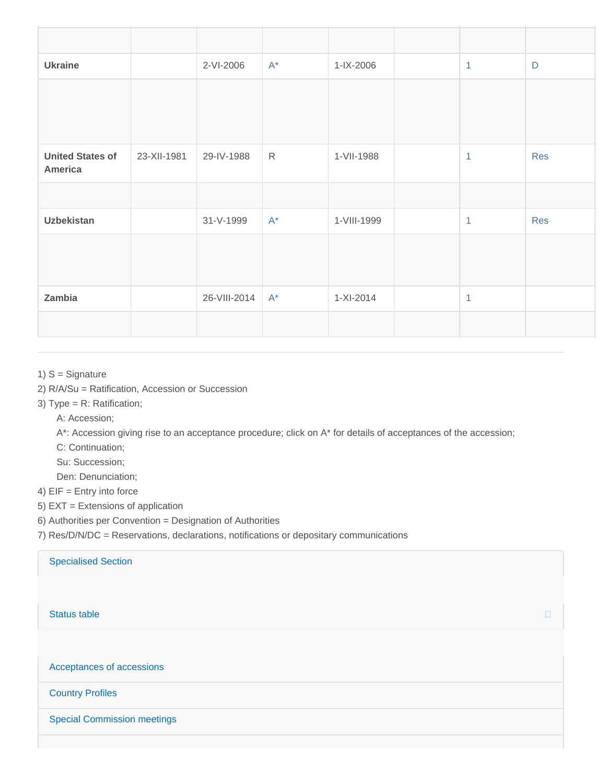| <b>Ukraine</b>                     |             | 2-VI-2006    | $A^*$        | 1-IX-2006   | $\mathbf{1}$   | D          |
|------------------------------------|-------------|--------------|--------------|-------------|----------------|------------|
|                                    |             |              |              |             |                |            |
| <b>United States of</b><br>America | 23-XII-1981 | 29-IV-1988   | $\mathsf{R}$ | 1-VII-1988  | 1              | Res        |
|                                    |             |              |              |             |                |            |
| <b>Uzbekistan</b>                  |             | 31-V-1999    | $A^*$        | 1-VIII-1999 | $\overline{1}$ | <b>Res</b> |
|                                    |             |              |              |             |                |            |
| Zambia                             |             | 26-VIII-2014 | $A^*$        | $1-XI-2014$ | $\overline{1}$ |            |
|                                    |             |              |              |             |                |            |

## 1) S = Signature

- 2) R/A/Su = Ratification, Accession or Succession
- 3) Type = R: Ratification;

A: Accession;

A\*: Accession giving rise to an acceptance procedure; click on A\* for details of acceptances of the accession;

C: Continuation;

Su: Succession;

Den: Denunciation;

4) EIF = Entry into force

- 5) EXT = Extensions of application
- 6) Authorities per Convention = Designation of Authorities

7) Res/D/N/DC = Reservations, declarations, notifications or depositary communications

| <b>Specialised Section</b>         |   |
|------------------------------------|---|
| <b>Status table</b>                | H |
| Acceptances of accessions          |   |
| <b>Country Profiles</b>            |   |
| <b>Special Commission meetings</b> |   |